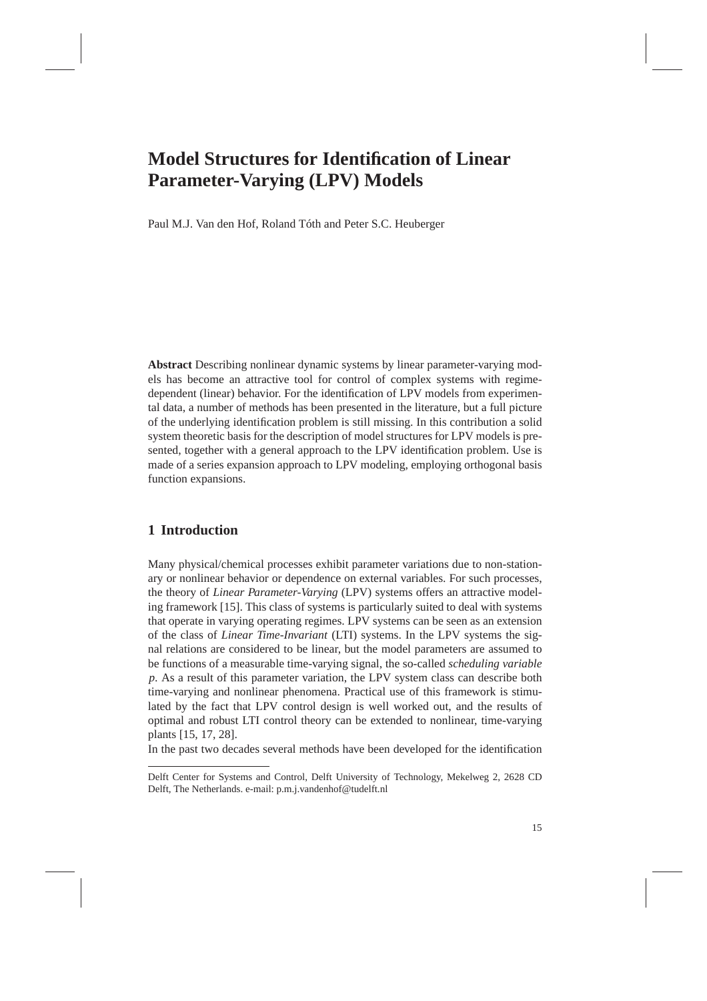# **Model Structures for Identification of Linear Parameter-Varying (LPV) Models**

Paul M.J. Van den Hof, Roland Tóth and Peter S.C. Heuberger

**Abstract** Describing nonlinear dynamic systems by linear parameter-varying models has become an attractive tool for control of complex systems with regimedependent (linear) behavior. For the identification of LPV models from experimental data, a number of methods has been presented in the literature, but a full picture of the underlying identification problem is still missing. In this contribution a solid system theoretic basis for the description of model structures for LPV models is presented, together with a general approach to the LPV identification problem. Use is made of a series expansion approach to LPV modeling, employing orthogonal basis function expansions.

### **1 Introduction**

Many physical/chemical processes exhibit parameter variations due to non-stationary or nonlinear behavior or dependence on external variables. For such processes, the theory of *Linear Parameter-Varying* (LPV) systems offers an attractive modeling framework [15]. This class of systems is particularly suited to deal with systems that operate in varying operating regimes. LPV systems can be seen as an extension of the class of *Linear Time-Invariant* (LTI) systems. In the LPV systems the signal relations are considered to be linear, but the model parameters are assumed to be functions of a measurable time-varying signal, the so-called *scheduling variable p*. As a result of this parameter variation, the LPV system class can describe both time-varying and nonlinear phenomena. Practical use of this framework is stimulated by the fact that LPV control design is well worked out, and the results of optimal and robust LTI control theory can be extended to nonlinear, time-varying plants [15, 17, 28].

In the past two decades several methods have been developed for the identification

Delft Center for Systems and Control, Delft University of Technology, Mekelweg 2, 2628 CD Delft, The Netherlands. e-mail: p.m.j.vandenhof@tudelft.nl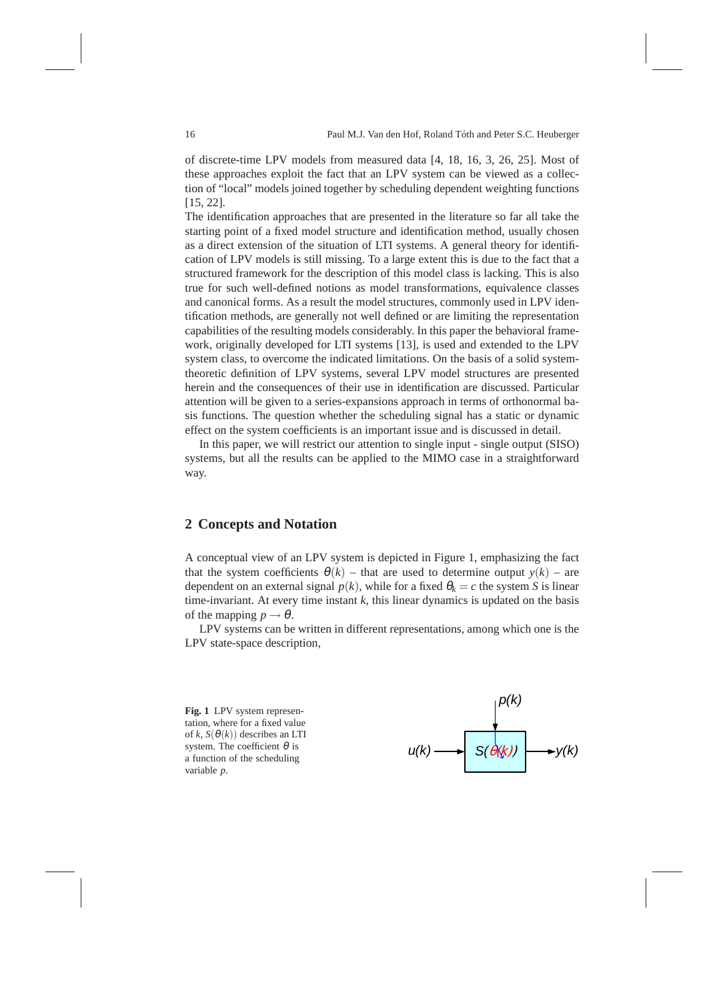of discrete-time LPV models from measured data [4, 18, 16, 3, 26, 25]. Most of these approaches exploit the fact that an LPV system can be viewed as a collection of "local" models joined together by scheduling dependent weighting functions [15, 22].

The identification approaches that are presented in the literature so far all take the starting point of a fixed model structure and identification method, usually chosen as a direct extension of the situation of LTI systems. A general theory for identification of LPV models is still missing. To a large extent this is due to the fact that a structured framework for the description of this model class is lacking. This is also true for such well-defined notions as model transformations, equivalence classes and canonical forms. As a result the model structures, commonly used in LPV identification methods, are generally not well defined or are limiting the representation capabilities of the resulting models considerably. In this paper the behavioral framework, originally developed for LTI systems [13], is used and extended to the LPV system class, to overcome the indicated limitations. On the basis of a solid systemtheoretic definition of LPV systems, several LPV model structures are presented herein and the consequences of their use in identification are discussed. Particular attention will be given to a series-expansions approach in terms of orthonormal basis functions. The question whether the scheduling signal has a static or dynamic effect on the system coefficients is an important issue and is discussed in detail.

In this paper, we will restrict our attention to single input - single output (SISO) systems, but all the results can be applied to the MIMO case in a straightforward way.

### **2 Concepts and Notation**

A conceptual view of an LPV system is depicted in Figure 1, emphasizing the fact that the system coefficients  $\theta(k)$  – that are used to determine output  $y(k)$  – are dependent on an external signal  $p(k)$ , while for a fixed  $\theta_k = c$  the system *S* is linear time-invariant. At every time instant  $k$ , this linear dynamics is updated on the basis of the mapping  $p \rightarrow \theta$ .

LPV systems can be written in different representations, among which one is the LPV state-space description,

**Fig. 1** LPV system representation, where for a fixed value of *k*,  $S(\theta(k))$  describes an LTI system. The coefficient  $\theta$  is a function of the scheduling variable *p*.

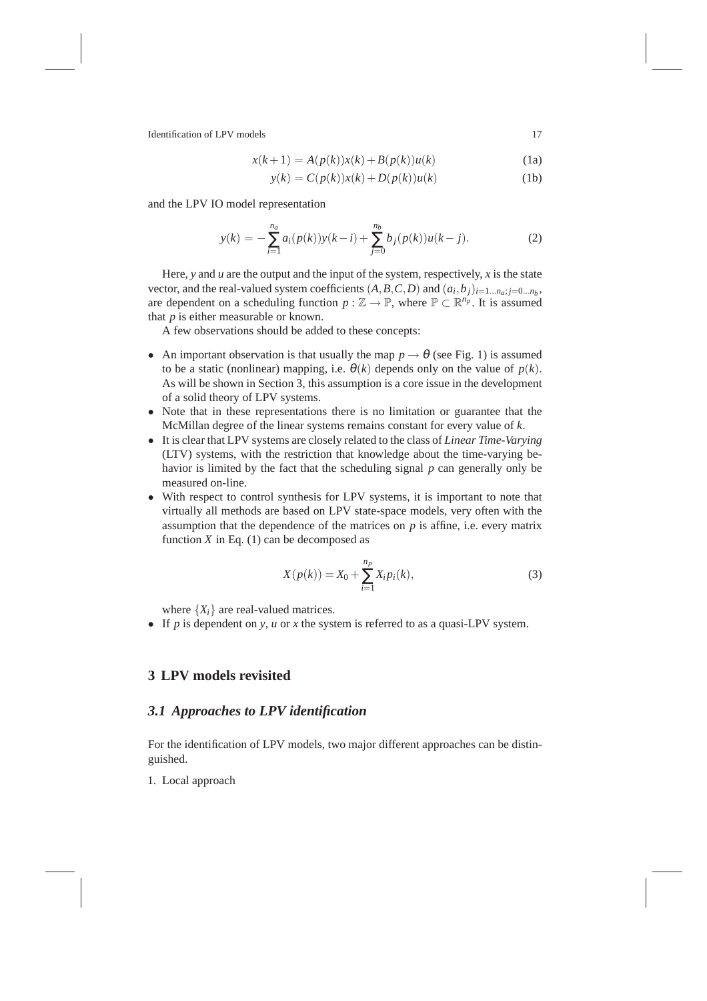$$
x(k+1) = A(p(k))x(k) + B(p(k))u(k)
$$
 (1a)

$$
y(k) = C(p(k))x(k) + D(p(k))u(k)
$$
 (1b)

and the LPV IO model representation

$$
y(k) = -\sum_{i=1}^{n_a} a_i(p(k))y(k-i) + \sum_{j=0}^{n_b} b_j(p(k))u(k-j).
$$
 (2)

Here, *y* and *u* are the output and the input of the system, respectively, *x* is the state vector, and the real-valued system coefficients  $(A, B, C, D)$  and  $(a_i, b_j)_{i=1...n_a; j=0...n_b}$ are dependent on a scheduling function  $p : \mathbb{Z} \to \mathbb{P}$ , where  $\mathbb{P} \subset \mathbb{R}^{n_p}$ . It is assumed that *p* is either measurable or known.

A few observations should be added to these concepts:

- An important observation is that usually the map  $p \rightarrow \theta$  (see Fig. 1) is assumed to be a static (nonlinear) mapping, i.e.  $\theta(k)$  depends only on the value of  $p(k)$ . As will be shown in Section 3, this assumption is a core issue in the development of a solid theory of LPV systems.
- Note that in these representations there is no limitation or guarantee that the McMillan degree of the linear systems remains constant for every value of *k*.
- It is clear that LPV systems are closely related to the class of *Linear Time-Varying* (LTV) systems, with the restriction that knowledge about the time-varying behavior is limited by the fact that the scheduling signal *p* can generally only be measured on-line.
- With respect to control synthesis for LPV systems, it is important to note that virtually all methods are based on LPV state-space models, very often with the assumption that the dependence of the matrices on  $p$  is affine, i.e. every matrix function  $X$  in Eq. (1) can be decomposed as

$$
X(p(k)) = X_0 + \sum_{i=1}^{n_p} X_i p_i(k),
$$
\n(3)

where  $\{X_i\}$  are real-valued matrices.

• If *p* is dependent on *y*, *u* or *x* the system is referred to as a quasi-LPV system.

# **3 LPV models revisited**

# *3.1 Approaches to LPV identification*

For the identification of LPV models, two major different approaches can be distinguished.

1. Local approach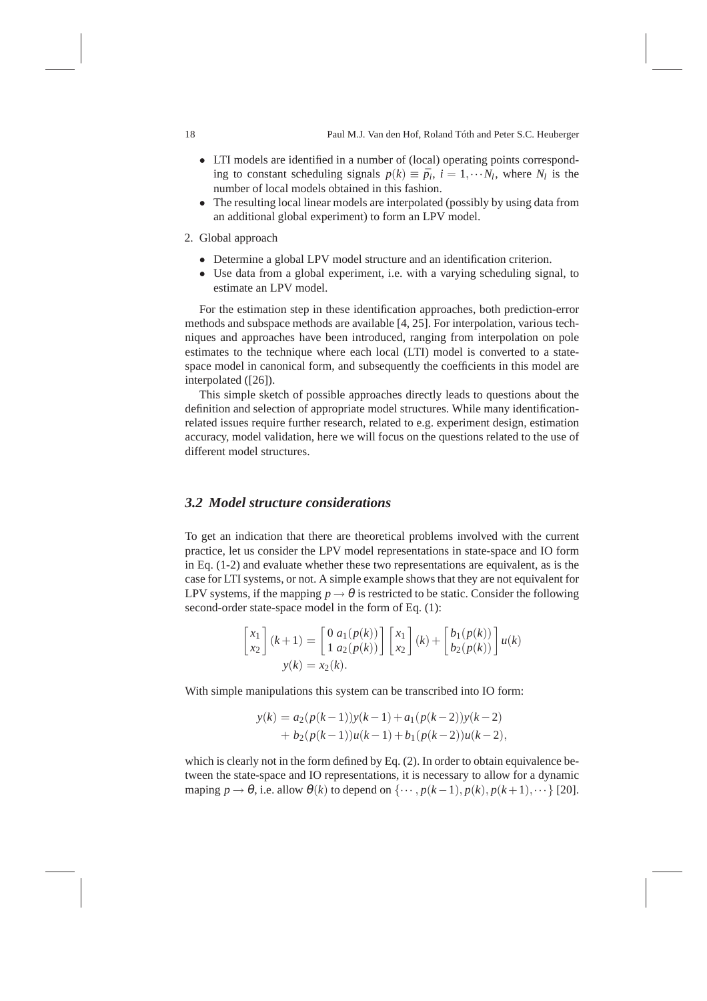- LTI models are identified in a number of (local) operating points corresponding to constant scheduling signals  $p(k) \equiv \bar{p}_i$ ,  $i = 1, \dots N_l$ , where  $N_l$  is the number of local models obtained in this fashion.
- The resulting local linear models are interpolated (possibly by using data from an additional global experiment) to form an LPV model.
- 2. Global approach
	- Determine a global LPV model structure and an identification criterion.
	- Use data from a global experiment, i.e. with a varying scheduling signal, to estimate an LPV model.

For the estimation step in these identification approaches, both prediction-error methods and subspace methods are available [4, 25]. For interpolation, various techniques and approaches have been introduced, ranging from interpolation on pole estimates to the technique where each local (LTI) model is converted to a statespace model in canonical form, and subsequently the coefficients in this model are interpolated ([26]).

This simple sketch of possible approaches directly leads to questions about the definition and selection of appropriate model structures. While many identificationrelated issues require further research, related to e.g. experiment design, estimation accuracy, model validation, here we will focus on the questions related to the use of different model structures.

### *3.2 Model structure considerations*

To get an indication that there are theoretical problems involved with the current practice, let us consider the LPV model representations in state-space and IO form in Eq. (1-2) and evaluate whether these two representations are equivalent, as is the case for LTI systems, or not. A simple example shows that they are not equivalent for LPV systems, if the mapping  $p \to \theta$  is restricted to be static. Consider the following second-order state-space model in the form of Eq. (1):

$$
\begin{bmatrix} x_1 \\ x_2 \end{bmatrix} (k+1) = \begin{bmatrix} 0 & a_1(p(k)) \\ 1 & a_2(p(k)) \end{bmatrix} \begin{bmatrix} x_1 \\ x_2 \end{bmatrix} (k) + \begin{bmatrix} b_1(p(k)) \\ b_2(p(k)) \end{bmatrix} u(k)
$$
\n
$$
y(k) = x_2(k).
$$

With simple manipulations this system can be transcribed into IO form:

$$
y(k) = a_2(p(k-1))y(k-1) + a_1(p(k-2))y(k-2)
$$
  
+  $b_2(p(k-1))u(k-1) + b_1(p(k-2))u(k-2)$ ,

which is clearly not in the form defined by Eq. (2). In order to obtain equivalence between the state-space and IO representations, it is necessary to allow for a dynamic maping  $p \rightarrow \theta$ , i.e. allow  $\theta(k)$  to depend on  $\{\cdots, p(k-1), p(k), p(k+1), \cdots\}$  [20].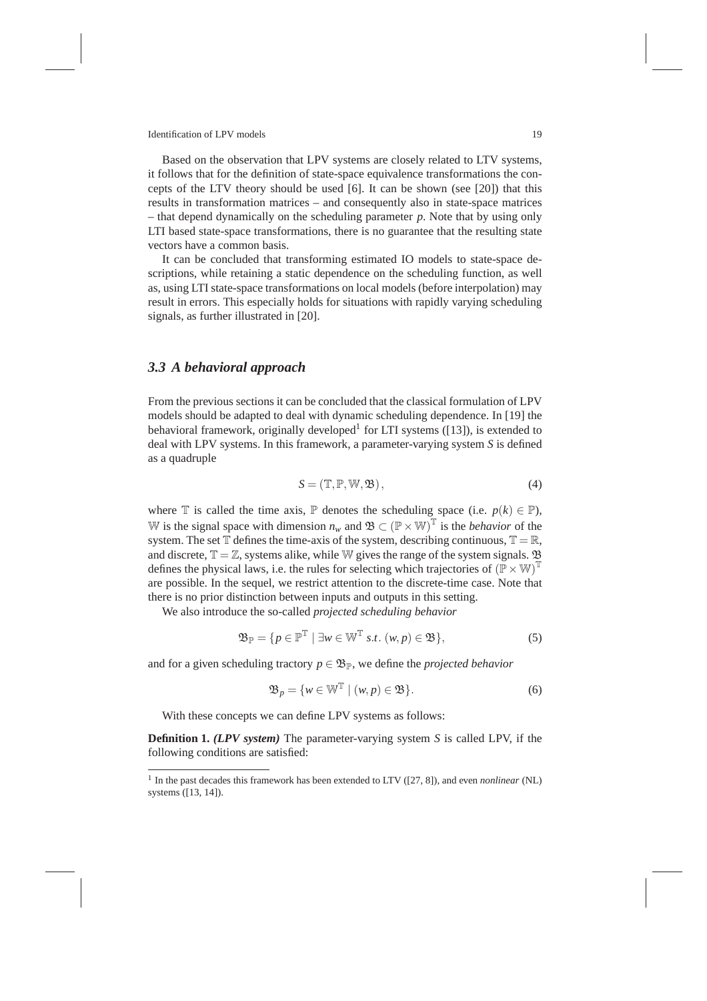Based on the observation that LPV systems are closely related to LTV systems, it follows that for the definition of state-space equivalence transformations the concepts of the LTV theory should be used [6]. It can be shown (see [20]) that this results in transformation matrices – and consequently also in state-space matrices – that depend dynamically on the scheduling parameter *p*. Note that by using only LTI based state-space transformations, there is no guarantee that the resulting state vectors have a common basis.

It can be concluded that transforming estimated IO models to state-space descriptions, while retaining a static dependence on the scheduling function, as well as, using LTI state-space transformations on local models (before interpolation) may result in errors. This especially holds for situations with rapidly varying scheduling signals, as further illustrated in [20].

#### *3.3 A behavioral approach*

From the previous sections it can be concluded that the classical formulation of LPV models should be adapted to deal with dynamic scheduling dependence. In [19] the behavioral framework, originally developed<sup>1</sup> for LTI systems ([13]), is extended to deal with LPV systems. In this framework, a parameter-varying system *S* is defined as a quadruple

$$
S = (\mathbb{T}, \mathbb{P}, \mathbb{W}, \mathfrak{B}),\tag{4}
$$

where  $\mathbb T$  is called the time axis,  $\mathbb P$  denotes the scheduling space (i.e.  $p(k) \in \mathbb P$ ), W is the signal space with dimension  $n_w$  and  $\mathfrak{B} \subset (\mathbb{P} \times \mathbb{W})^{\mathbb{T}}$  is the *behavior* of the system. The set  $\mathbb T$  defines the time-axis of the system, describing continuous,  $\mathbb T = \mathbb R$ , and discrete,  $\mathbb{T} = \mathbb{Z}$ , systems alike, while W gives the range of the system signals.  $\mathfrak{B}$ defines the physical laws, i.e. the rules for selecting which trajectories of  $(\mathbb{P} \times \mathbb{W})^{\mathbb{T}}$ are possible. In the sequel, we restrict attention to the discrete-time case. Note that there is no prior distinction between inputs and outputs in this setting.

We also introduce the so-called *projected scheduling behavior*

$$
\mathfrak{B}_{\mathbb{P}} = \{ p \in \mathbb{P}^{\mathbb{T}} \mid \exists w \in \mathbb{W}^{\mathbb{T}} \text{ s.t. } (w, p) \in \mathfrak{B} \},\tag{5}
$$

and for a given scheduling tractory  $p \in \mathfrak{B}_{\mathbb{P}}$ , we define the *projected behavior* 

$$
\mathfrak{B}_p = \{ w \in \mathbb{W}^{\mathbb{T}} \mid (w, p) \in \mathfrak{B} \}. \tag{6}
$$

With these concepts we can define LPV systems as follows:

**Definition 1.** *(LPV system)* The parameter-varying system *S* is called LPV, if the following conditions are satisfied:

<sup>1</sup> In the past decades this framework has been extended to LTV ([27, 8]), and even *nonlinear* (NL) systems ([13, 14]).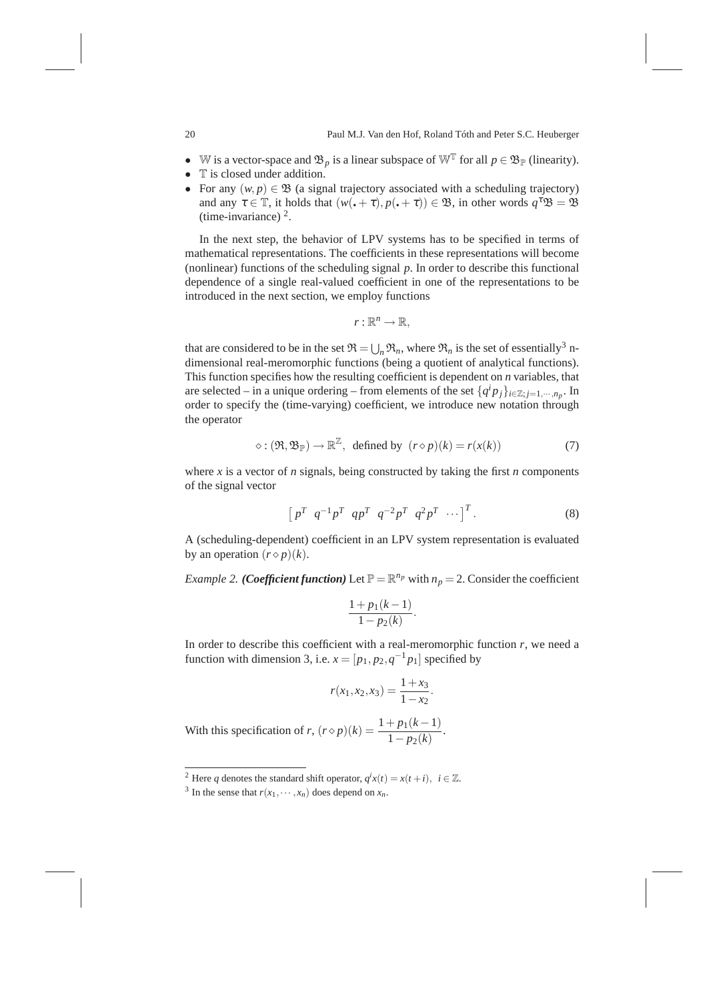- W is a vector-space and  $\mathfrak{B}_p$  is a linear subspace of  $\mathbb{W}^T$  for all  $p \in \mathfrak{B}_\mathbb{P}$  (linearity).
- T is closed under addition.<br>• For any  $(w, p) \in \mathfrak{B}$  (a sign
- For any  $(w, p) \in \mathfrak{B}$  (a signal trajectory associated with a scheduling trajectory) and any  $\tau \in \mathbb{T}$ , it holds that  $(w(\cdot + \tau), p(\cdot + \tau)) \in \mathfrak{B}$ , in other words  $q^{\tau} \mathfrak{B} = \mathfrak{B}$ (time-invariance)  $2$ .

In the next step, the behavior of LPV systems has to be specified in terms of mathematical representations. The coefficients in these representations will become (nonlinear) functions of the scheduling signal *p*. In order to describe this functional dependence of a single real-valued coefficient in one of the representations to be introduced in the next section, we employ functions

$$
r:\mathbb{R}^n\to\mathbb{R},
$$

that are considered to be in the set  $\mathfrak{R} = \bigcup_n \mathfrak{R}_n$ , where  $\mathfrak{R}_n$  is the set of essentially<sup>3</sup> ndimensional real-meromorphic functions (being a quotient of analytical functions). This function specifies how the resulting coefficient is dependent on *n* variables, that are selected – in a unique ordering – from elements of the set  $\{q^i p_j\}_{i \in \mathbb{Z} ; j=1,\cdots,n_p}$ . In order to specify the (time-varying) coefficient, we introduce new notation through the operator

$$
\diamond : (\Re, \mathfrak{B}_{\mathbb{P}}) \to \mathbb{R}^{\mathbb{Z}}, \text{ defined by } (r \diamond p)(k) = r(x(k)) \tag{7}
$$

where  $x$  is a vector of  $n$  signals, being constructed by taking the first  $n$  components of the signal vector

$$
\left[ p^T \ q^{-1} p^T \ q p^T \ q^{-2} p^T \ q^2 p^T \ \cdots \right]^T.
$$
 (8)

A (scheduling-dependent) coefficient in an LPV system representation is evaluated by an operation  $(r \diamond p)(k)$ .

*Example 2. (Coefficient function)* Let  $\mathbb{P} = \mathbb{R}^{n_p}$  with  $n_p = 2$ . Consider the coefficient

$$
\frac{1 + p_1(k-1)}{1 - p_2(k)}.
$$

In order to describe this coefficient with a real-meromorphic function  $r$ , we need a function with dimension 3, i.e.  $x = [p_1, p_2, q^{-1}p_1]$  specified by

$$
r(x_1, x_2, x_3) = \frac{1 + x_3}{1 - x_2}.
$$

With this specification of *r*,  $(r \diamond p)(k) = \frac{1 + p_1(k - 1)}{1 - p_2(k)}$ .

<sup>&</sup>lt;sup>2</sup> Here *q* denotes the standard shift operator,  $q^i x(t) = x(t + i)$ ,  $i \in \mathbb{Z}$ .

<sup>&</sup>lt;sup>3</sup> In the sense that  $r(x_1, \dots, x_n)$  does depend on  $x_n$ .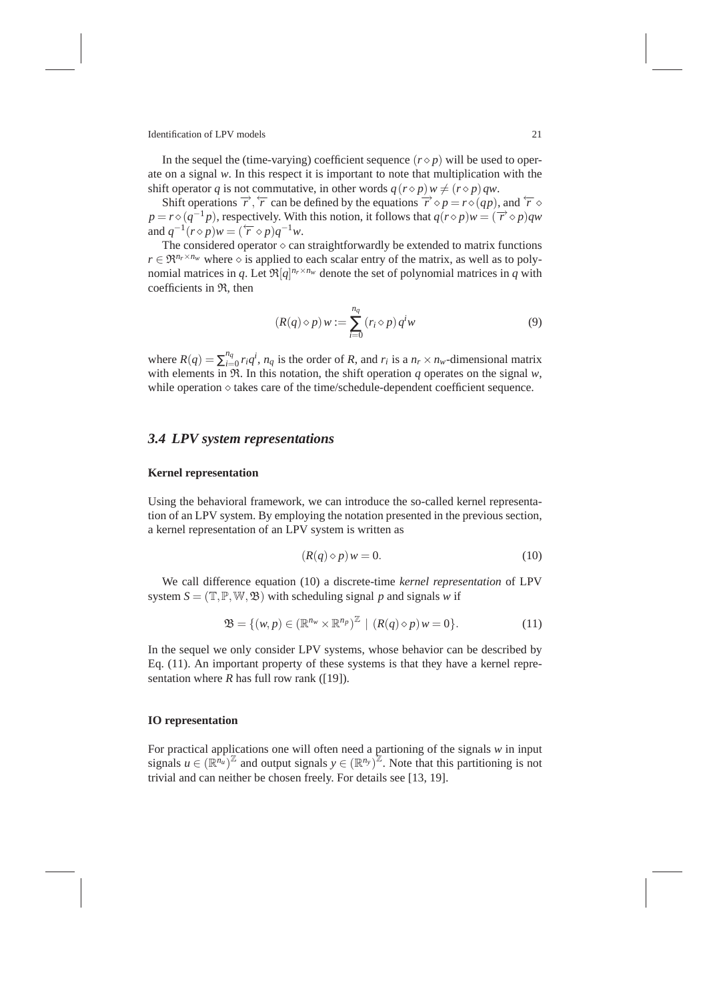In the sequel the (time-varying) coefficient sequence  $(r \diamond p)$  will be used to operate on a signal *w*. In this respect it is important to note that multiplication with the shift operator *q* is not commutative, in other words  $q(r \diamond p) w \neq (r \diamond p) qw$ .

Shift operations  $\overrightarrow{r}$ ,  $\overleftarrow{r}$  can be defined by the equations  $\overrightarrow{r} \diamond p = r \diamond (qp)$ , and  $\overleftarrow{r} \diamond$  $p = r \diamond (q^{-1}p)$ , respectively. With this notion, it follows that  $q(r \diamond p)w = (\overrightarrow{r} \diamond p)qw$ and  $q^{-1}(r \diamond p)w = (\overleftarrow{r} \diamond p)q^{-1}w$ .

The considered operator  $\diamond$  can straightforwardly be extended to matrix functions  $r \in \mathfrak{R}^{n_r \times n_w}$  where  $\diamond$  is applied to each scalar entry of the matrix, as well as to polynomial matrices in *q*. Let  $\Re[q]^{n_r \times n_w}$  denote the set of polynomial matrices in *q* with coefficients in R, then

$$
(R(q) \diamond p) w := \sum_{i=0}^{n_q} (r_i \diamond p) q^i w \tag{9}
$$

where  $R(q) = \sum_{i=1}^{n_q}$  $\int_{i=0}^{n_q} r_i q^i$ ,  $n_q$  is the order of *R*, and  $r_i$  is a  $n_r \times n_w$ -dimensional matrix with elements in  $\mathfrak{R}$ . In this notation, the shift operation *q* operates on the signal *w*, while operation  $\diamond$  takes care of the time/schedule-dependent coefficient sequence.

# *3.4 LPV system representations*

#### **Kernel representation**

Using the behavioral framework, we can introduce the so-called kernel representation of an LPV system. By employing the notation presented in the previous section, a kernel representation of an LPV system is written as

$$
(R(q) \diamond p) w = 0. \tag{10}
$$

We call difference equation (10) a discrete-time *kernel representation* of LPV system  $S = (\mathbb{T}, \mathbb{P}, \mathbb{W}, \mathfrak{B})$  with scheduling signal p and signals w if

$$
\mathfrak{B} = \{ (w, p) \in (\mathbb{R}^{n_w} \times \mathbb{R}^{n_p})^{\mathbb{Z}} \mid (R(q) \diamond p) w = 0 \}.
$$
 (11)

In the sequel we only consider LPV systems, whose behavior can be described by Eq. (11). An important property of these systems is that they have a kernel representation where  $R$  has full row rank ([19]).

### **IO representation**

For practical applications one will often need a partioning of the signals *w* in input signals  $u \in (\mathbb{R}^{n_u})^{\mathbb{Z}}$  and output signals  $y \in (\mathbb{R}^{n_y})^{\mathbb{Z}}$ . Note that this partitioning is not trivial and can neither be chosen freely. For details see [13, 19].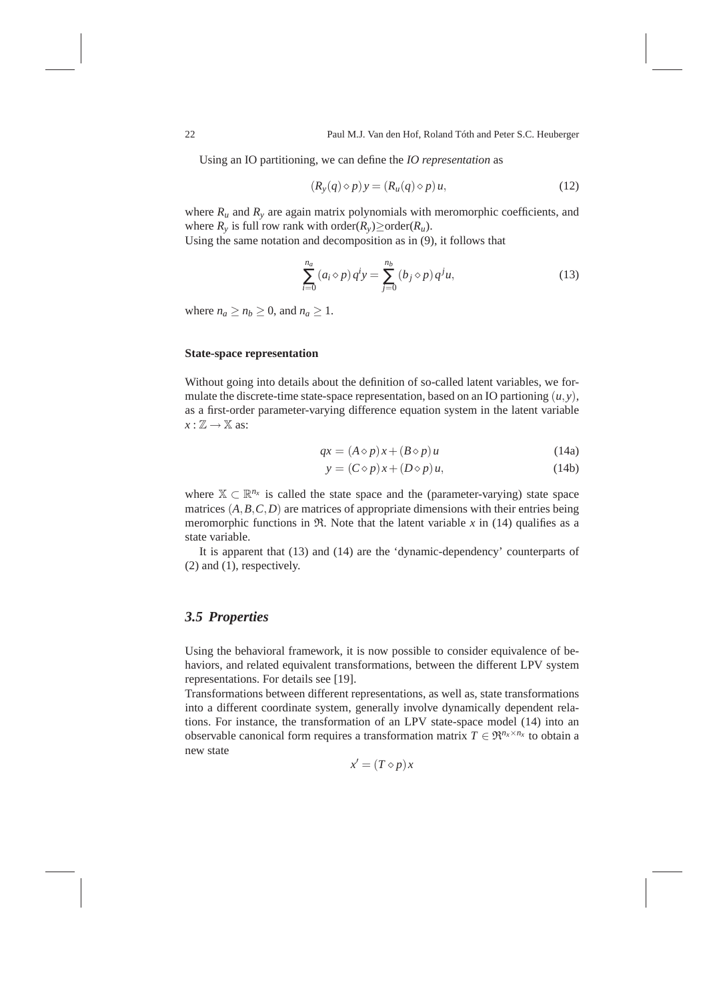Using an IO partitioning, we can define the *IO representation* as

$$
(R_y(q)\diamond p)y = (R_u(q)\diamond p)u,
$$
\n(12)

where  $R_u$  and  $R_v$  are again matrix polynomials with meromorphic coefficients, and where  $R_\nu$  is full row rank with order( $R_\nu$ ) $\geq$ order( $R_u$ ).

Using the same notation and decomposition as in (9), it follows that

$$
\sum_{i=0}^{n_a} (a_i \diamond p) q^i y = \sum_{j=0}^{n_b} (b_j \diamond p) q^j u,
$$
\n(13)

where  $n_a \ge n_b \ge 0$ , and  $n_a \ge 1$ .

#### **State-space representation**

Without going into details about the definition of so-called latent variables, we formulate the discrete-time state-space representation, based on an IO partioning  $(u, y)$ , as a first-order parameter-varying difference equation system in the latent variable  $x : \mathbb{Z} \to \mathbb{X}$  as:

$$
qx = (A \diamond p)x + (B \diamond p)u \tag{14a}
$$

$$
y = (C \diamond p)x + (D \diamond p)u,\tag{14b}
$$

where  $\mathbb{X} \subset \mathbb{R}^{n_x}$  is called the state space and the (parameter-varying) state space matrices  $(A, B, C, D)$  are matrices of appropriate dimensions with their entries being meromorphic functions in  $\Re$ . Note that the latent variable x in (14) qualifies as a state variable.

It is apparent that (13) and (14) are the 'dynamic-dependency' counterparts of (2) and (1), respectively.

### *3.5 Properties*

Using the behavioral framework, it is now possible to consider equivalence of behaviors, and related equivalent transformations, between the different LPV system representations. For details see [19].

Transformations between different representations, as well as, state transformations into a different coordinate system, generally involve dynamically dependent relations. For instance, the transformation of an LPV state-space model (14) into an observable canonical form requires a transformation matrix  $T \in \mathbb{R}^{n_x \times n_x}$  to obtain a new state

$$
x' = (T \diamond p)x
$$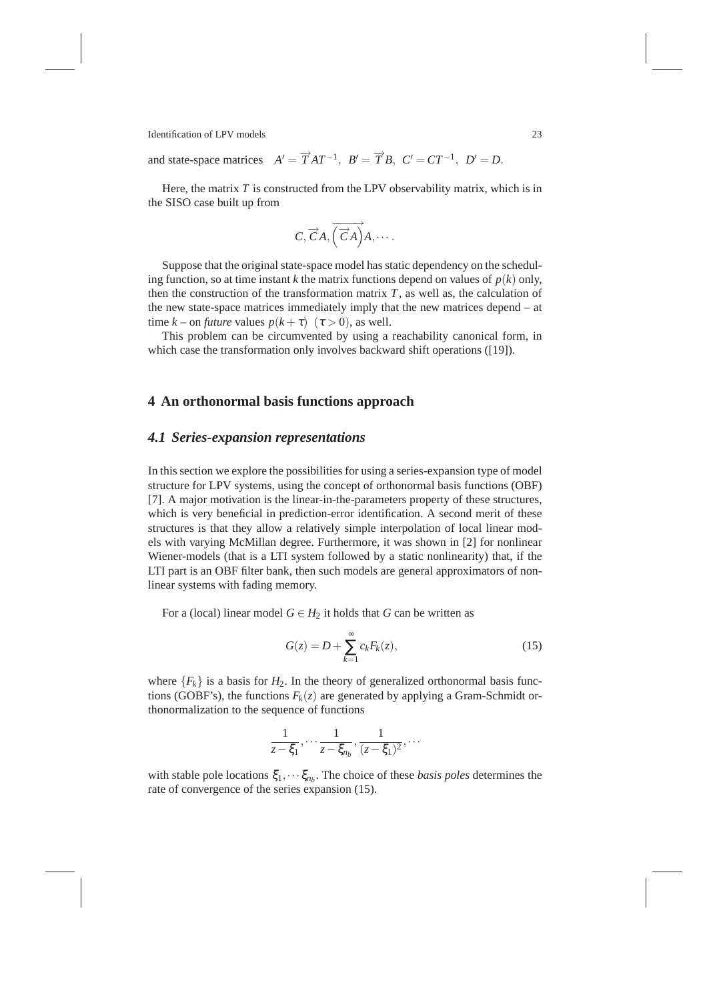and state-space matrices  $A' = \overrightarrow{T}AT^{-1}$ ,  $B' = \overrightarrow{T}B$ ,  $C' = CT^{-1}$ ,  $D' = D$ .

Here, the matrix  $T$  is constructed from the LPV observability matrix, which is in the SISO case built up from

$$
C, \overrightarrow{C}A, \overrightarrow{\left(\overrightarrow{C}A\right)}A, \cdots.
$$

Suppose that the original state-space model has static dependency on the scheduling function, so at time instant *k* the matrix functions depend on values of  $p(k)$  only, then the construction of the transformation matrix  $T$ , as well as, the calculation of the new state-space matrices immediately imply that the new matrices depend – at time  $k$  – on *future* values  $p(k+\tau)$  ( $\tau > 0$ ), as well.

This problem can be circumvented by using a reachability canonical form, in which case the transformation only involves backward shift operations ([19]).

### **4 An orthonormal basis functions approach**

#### *4.1 Series-expansion representations*

In this section we explore the possibilities for using a series-expansion type of model structure for LPV systems, using the concept of orthonormal basis functions (OBF) [7]. A major motivation is the linear-in-the-parameters property of these structures, which is very beneficial in prediction-error identification. A second merit of these structures is that they allow a relatively simple interpolation of local linear models with varying McMillan degree. Furthermore, it was shown in [2] for nonlinear Wiener-models (that is a LTI system followed by a static nonlinearity) that, if the LTI part is an OBF filter bank, then such models are general approximators of nonlinear systems with fading memory.

For a (local) linear model  $G \in H_2$  it holds that *G* can be written as

$$
G(z) = D + \sum_{k=1}^{\infty} c_k F_k(z), \qquad (15)
$$

where  ${F_k}$  is a basis for  $H_2$ . In the theory of generalized orthonormal basis functions (GOBF's), the functions  $F_k(z)$  are generated by applying a Gram-Schmidt orthonormalization to the sequence of functions

$$
\frac{1}{z-\xi_1}, \cdots, \frac{1}{z-\xi_{n_b}}, \frac{1}{(z-\xi_1)^2}, \cdots
$$

with stable pole locations  $\xi_1, \dots, \xi_{n_b}$ . The choice of these *basis poles* determines the rate of convergence of the series expansion (15).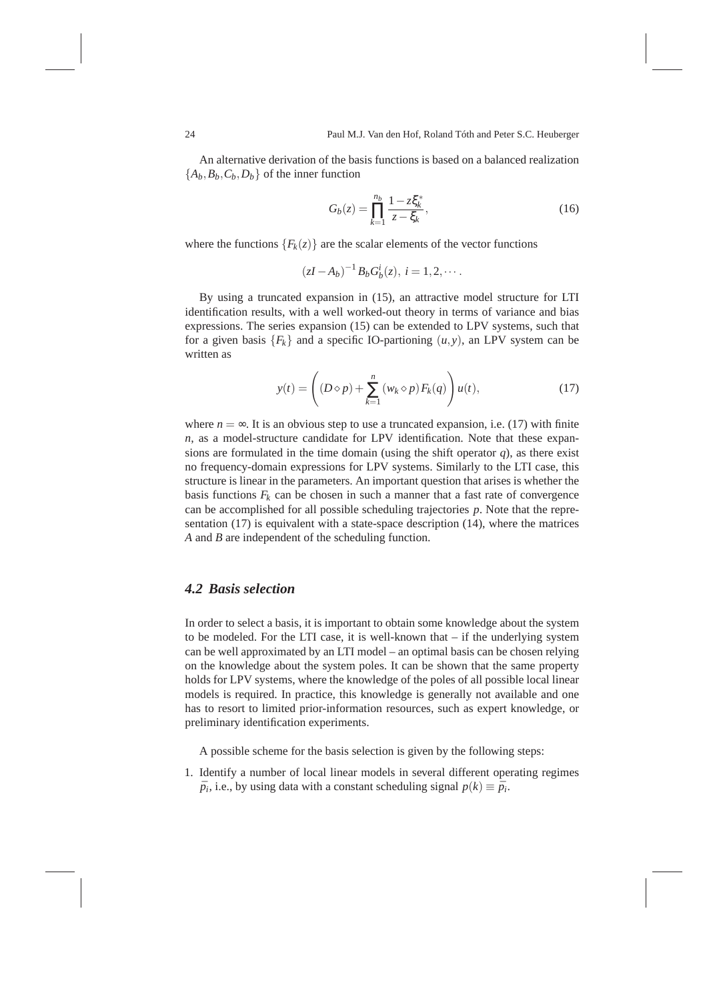An alternative derivation of the basis functions is based on a balanced realization  ${A_b, B_b, C_b, D_b}$  of the inner function

$$
G_b(z) = \prod_{k=1}^{n_b} \frac{1 - z \xi_k^*}{z - \xi_k},
$$
\n(16)

where the functions  ${F_k(z)}$  are the scalar elements of the vector functions

$$
(zI - A_b)^{-1} B_b G_b^i(z), i = 1, 2, \cdots.
$$

By using a truncated expansion in (15), an attractive model structure for LTI identification results, with a well worked-out theory in terms of variance and bias expressions. The series expansion (15) can be extended to LPV systems, such that for a given basis  ${F_k}$  and a specific IO-partioning  $(u, y)$ , an LPV system can be written as

$$
y(t) = \left( (D \diamond p) + \sum_{k=1}^{n} (w_k \diamond p) F_k(q) \right) u(t), \tag{17}
$$

where  $n = \infty$ . It is an obvious step to use a truncated expansion, i.e. (17) with finite *n*, as a model-structure candidate for LPV identification. Note that these expansions are formulated in the time domain (using the shift operator  $q$ ), as there exist no frequency-domain expressions for LPV systems. Similarly to the LTI case, this structure is linear in the parameters. An important question that arises is whether the basis functions  $F_k$  can be chosen in such a manner that a fast rate of convergence can be accomplished for all possible scheduling trajectories *p*. Note that the representation (17) is equivalent with a state-space description (14), where the matrices *A* and *B* are independent of the scheduling function.

#### *4.2 Basis selection*

In order to select a basis, it is important to obtain some knowledge about the system to be modeled. For the LTI case, it is well-known that  $-$  if the underlying system can be well approximated by an LTI model – an optimal basis can be chosen relying on the knowledge about the system poles. It can be shown that the same property holds for LPV systems, where the knowledge of the poles of all possible local linear models is required. In practice, this knowledge is generally not available and one has to resort to limited prior-information resources, such as expert knowledge, or preliminary identification experiments.

A possible scheme for the basis selection is given by the following steps:

1. Identify a number of local linear models in several different operating regimes  $\bar{p}_i$ , i.e., by using data with a constant scheduling signal  $p(k) \equiv \bar{p}_i$ .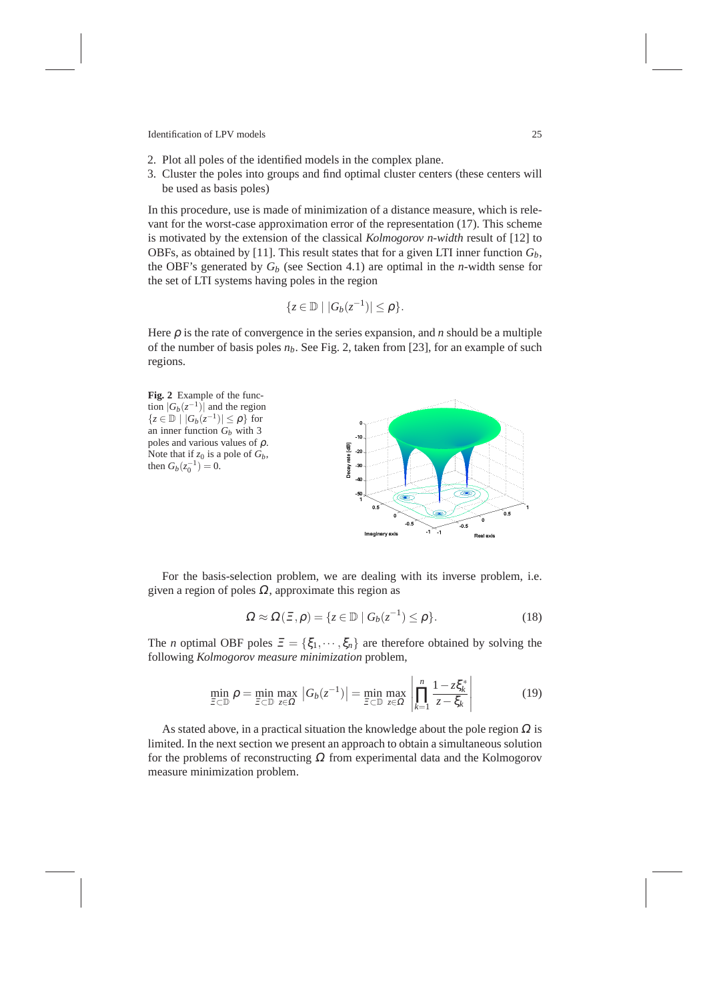- 2. Plot all poles of the identified models in the complex plane.
- 3. Cluster the poles into groups and find optimal cluster centers (these centers will be used as basis poles)

In this procedure, use is made of minimization of a distance measure, which is relevant for the worst-case approximation error of the representation (17). This scheme is motivated by the extension of the classical *Kolmogorov n-width* result of [12] to OBFs, as obtained by [11]. This result states that for a given LTI inner function  $G_b$ , the OBF's generated by *G<sup>b</sup>* (see Section 4.1) are optimal in the *n*-width sense for the set of LTI systems having poles in the region

$$
\{z\in\mathbb{D}\mid |G_b(z^{-1})|\leq\rho\}.
$$

Here  $\rho$  is the rate of convergence in the series expansion, and *n* should be a multiple of the number of basis poles *nb*. See Fig. 2, taken from [23], for an example of such regions.



For the basis-selection problem, we are dealing with its inverse problem, i.e. given a region of poles  $\Omega$ , approximate this region as

$$
\Omega \approx \Omega(\Xi, \rho) = \{ z \in \mathbb{D} \mid G_b(z^{-1}) \le \rho \}. \tag{18}
$$

The *n* optimal OBF poles  $\mathbf{E} = {\xi_1, \dots, \xi_n}$  are therefore obtained by solving the following *Kolmogorov measure minimization* problem,

$$
\min_{\Xi \subset \mathbb{D}} \rho = \min_{\Xi \subset \mathbb{D}} \max_{z \in \Omega} \left| G_b(z^{-1}) \right| = \min_{\Xi \subset \mathbb{D}} \max_{z \in \Omega} \left| \prod_{k=1}^n \frac{1 - z \xi_k^*}{z - \xi_k} \right| \tag{19}
$$

As stated above, in a practical situation the knowledge about the pole region  $\Omega$  is limited. In the next section we present an approach to obtain a simultaneous solution for the problems of reconstructing  $\Omega$  from experimental data and the Kolmogorov measure minimization problem.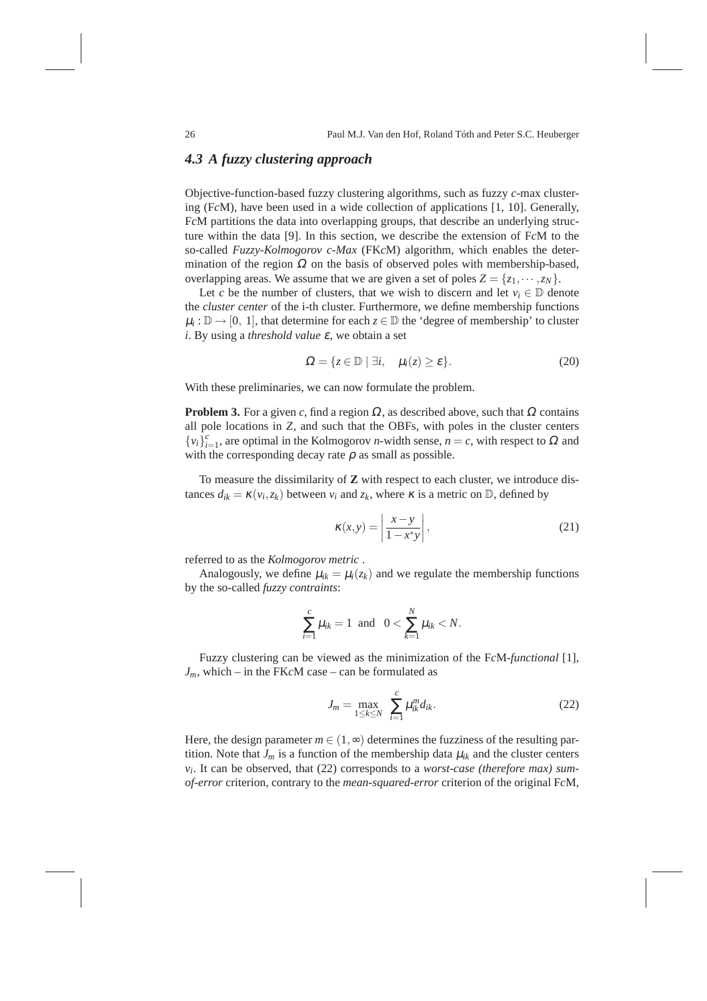### *4.3 A fuzzy clustering approach*

Objective-function-based fuzzy clustering algorithms, such as fuzzy *c*-max clustering (F*c*M), have been used in a wide collection of applications [1, 10]. Generally, F*c*M partitions the data into overlapping groups, that describe an underlying structure within the data [9]. In this section, we describe the extension of F*c*M to the so-called *Fuzzy-Kolmogorov c-Max* (FK*c*M) algorithm, which enables the determination of the region  $\Omega$  on the basis of observed poles with membership-based, overlapping areas. We assume that we are given a set of poles  $Z = \{z_1, \dots, z_N\}$ .

Let *c* be the number of clusters, that we wish to discern and let  $v_i \in \mathbb{D}$  denote the *cluster center* of the i-th cluster. Furthermore, we define membership functions  $\mu_i: \mathbb{D} \to [0, 1]$ , that determine for each  $z \in \mathbb{D}$  the 'degree of membership' to cluster *i*. By using a *threshold value* <sup>ε</sup>, we obtain a set

$$
\Omega = \{ z \in \mathbb{D} \mid \exists i, \quad \mu_i(z) \ge \varepsilon \}. \tag{20}
$$

With these preliminaries, we can now formulate the problem.

**Problem 3.** For a given *c*, find a region  $\Omega$ , as described above, such that  $\Omega$  contains all pole locations in *Z*, and such that the OBFs, with poles in the cluster centers  ${v_i}_{i=1}^c$ , are optimal in the Kolmogorov *n*-width sense, *n* = *c*, with respect to  $\Omega$  and with the corresponding decay rate  $\rho$  as small as possible.

To measure the dissimilarity of **Z** with respect to each cluster, we introduce distances  $d_{ik} = \kappa(v_i, z_k)$  between  $v_i$  and  $z_k$ , where  $\kappa$  is a metric on  $\mathbb{D}$ , defined by

$$
\kappa(x, y) = \left| \frac{x - y}{1 - x^* y} \right|,\tag{21}
$$

referred to as the *Kolmogorov metric* .

Analogously, we define  $\mu_{ik} = \mu_i(z_k)$  and we regulate the membership functions by the so-called *fuzzy contraints*:

$$
\sum_{i=1}^{c} \mu_{ik} = 1 \text{ and } 0 < \sum_{k=1}^{N} \mu_{ik} < N.
$$

Fuzzy clustering can be viewed as the minimization of the F*c*M-*functional* [1],  $J_m$ , which – in the FK $c$ M case – can be formulated as

$$
J_m = \max_{1 \le k \le N} \sum_{i=1}^{c} \mu_{ik}^m d_{ik}.
$$
 (22)

Here, the design parameter  $m \in (1, \infty)$  determines the fuzziness of the resulting partition. Note that  $J_m$  is a function of the membership data  $\mu_{ik}$  and the cluster centers *vi* . It can be observed, that (22) corresponds to a *worst-case (therefore max) sumof-error* criterion, contrary to the *mean-squared-error* criterion of the original F*c*M,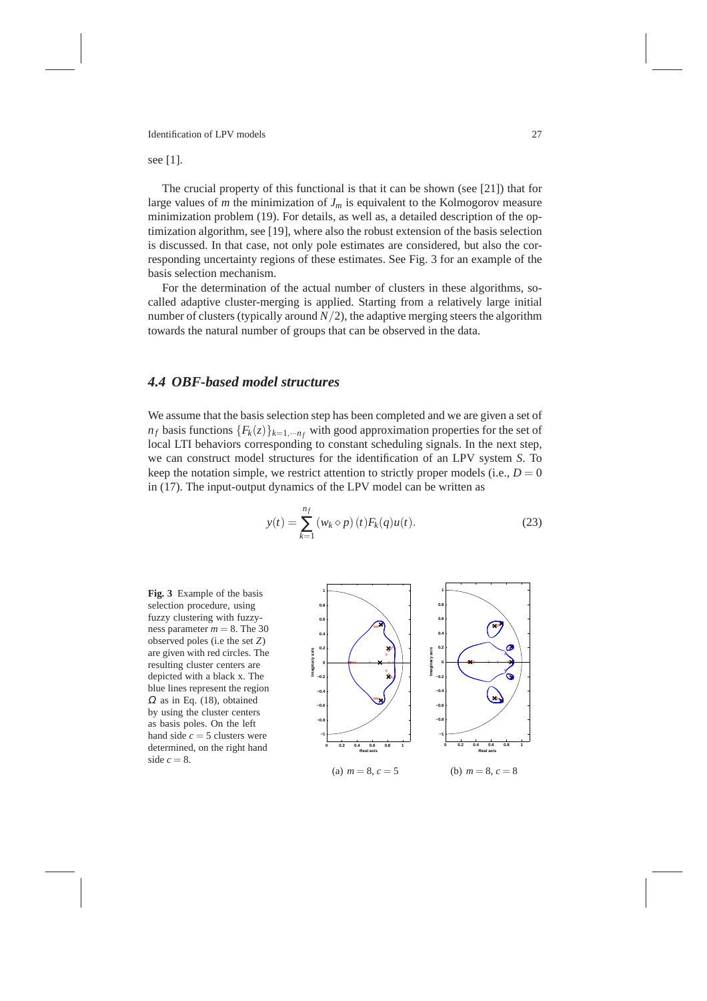#### see [1].

The crucial property of this functional is that it can be shown (see [21]) that for large values of *m* the minimization of  $J_m$  is equivalent to the Kolmogorov measure minimization problem (19). For details, as well as, a detailed description of the optimization algorithm, see [19], where also the robust extension of the basis selection is discussed. In that case, not only pole estimates are considered, but also the corresponding uncertainty regions of these estimates. See Fig. 3 for an example of the basis selection mechanism.

For the determination of the actual number of clusters in these algorithms, socalled adaptive cluster-merging is applied. Starting from a relatively large initial number of clusters (typically around  $N/2$ ), the adaptive merging steers the algorithm towards the natural number of groups that can be observed in the data.

# *4.4 OBF-based model structures*

We assume that the basis selection step has been completed and we are given a set of  $n_f$  basis functions  ${F_k(z)}_{k=1,\dots n_f}$  with good approximation properties for the set of local LTI behaviors corresponding to constant scheduling signals. In the next step, we can construct model structures for the identification of an LPV system *S*. To keep the notation simple, we restrict attention to strictly proper models (i.e.,  $D = 0$ ) in (17). The input-output dynamics of the LPV model can be written as

$$
y(t) = \sum_{k=1}^{n_f} (w_k \diamond p)(t) F_k(q) u(t).
$$
 (23)

**Fig. 3** Example of the basis selection procedure, using fuzzy clustering with fuzzyness parameter  $m = 8$ . The 30 observed poles (i.e the set *Z*) are given with red circles. The resulting cluster centers are depicted with a black x. The blue lines represent the region  $\Omega$  as in Eq. (18), obtained by using the cluster centers as basis poles. On the left hand side  $c = 5$  clusters were determined, on the right hand side  $c = 8$ .

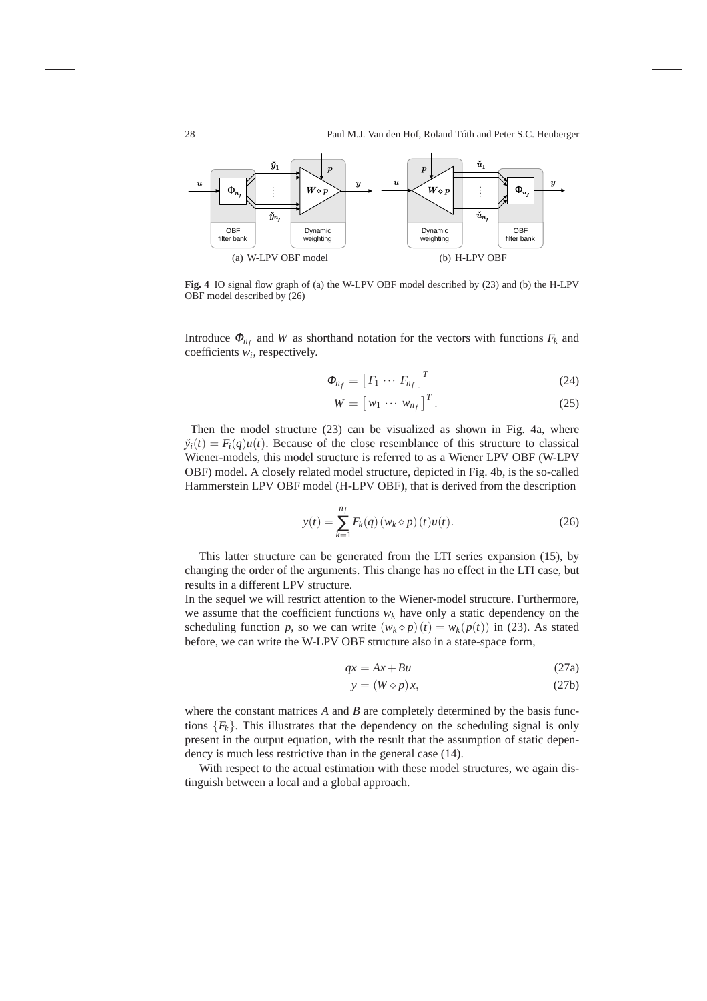

**Fig. 4** IO signal flow graph of (a) the W-LPV OBF model described by (23) and (b) the H-LPV OBF model described by (26)

Introduce  $\Phi_{n_f}$  and *W* as shorthand notation for the vectors with functions  $F_k$  and coefficients *w<sup>i</sup>* , respectively.

$$
\Phi_{n_f} = \left[ F_1 \cdots F_{n_f} \right]^T \tag{24}
$$

$$
W = \begin{bmatrix} w_1 & \cdots & w_{n_f} \end{bmatrix}^T.
$$
 (25)

Then the model structure (23) can be visualized as shown in Fig. 4a, where  $\ddot{y}_i(t) = F_i(q)u(t)$ . Because of the close resemblance of this structure to classical Wiener-models, this model structure is referred to as a Wiener LPV OBF (W-LPV OBF) model. A closely related model structure, depicted in Fig. 4b, is the so-called Hammerstein LPV OBF model (H-LPV OBF), that is derived from the description

$$
y(t) = \sum_{k=1}^{n_f} F_k(q) (w_k \diamond p) (t) u(t).
$$
 (26)

This latter structure can be generated from the LTI series expansion (15), by changing the order of the arguments. This change has no effect in the LTI case, but results in a different LPV structure.

In the sequel we will restrict attention to the Wiener-model structure. Furthermore, we assume that the coefficient functions  $w_k$  have only a static dependency on the scheduling function *p*, so we can write  $(w_k \diamond p)(t) = w_k(p(t))$  in (23). As stated before, we can write the W-LPV OBF structure also in a state-space form,

$$
qx = Ax + Bu \tag{27a}
$$

$$
y = (W \diamond p)x,\tag{27b}
$$

where the constant matrices *A* and *B* are completely determined by the basis functions  ${F_k}$ . This illustrates that the dependency on the scheduling signal is only present in the output equation, with the result that the assumption of static dependency is much less restrictive than in the general case (14).

With respect to the actual estimation with these model structures, we again distinguish between a local and a global approach.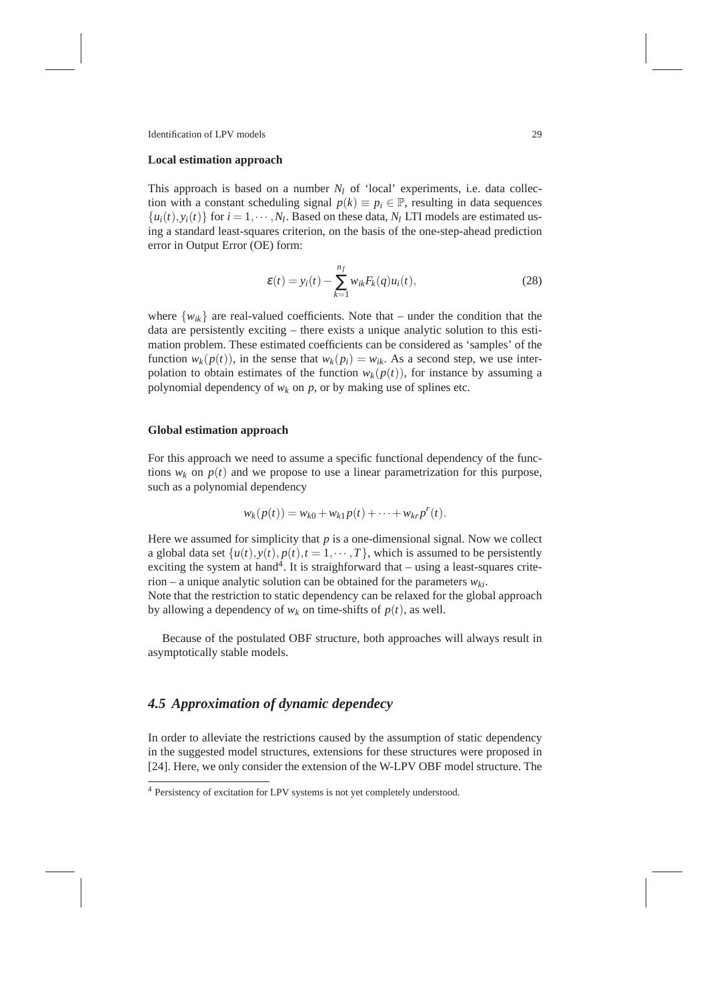#### **Local estimation approach**

This approach is based on a number  $N_l$  of 'local' experiments, i.e. data collection with a constant scheduling signal  $p(k) \equiv p_i \in \mathbb{P}$ , resulting in data sequences  $\{u_i(t), y_i(t)\}$  for  $i = 1, \dots, N_l$ . Based on these data,  $N_l$  LTI models are estimated using a standard least-squares criterion, on the basis of the one-step-ahead prediction error in Output Error (OE) form:

$$
\varepsilon(t) = y_i(t) - \sum_{k=1}^{n_f} w_{ik} F_k(q) u_i(t), \qquad (28)
$$

where  $\{w_{ik}\}\$ are real-valued coefficients. Note that – under the condition that the data are persistently exciting – there exists a unique analytic solution to this estimation problem. These estimated coefficients can be considered as 'samples' of the function  $w_k(p(t))$ , in the sense that  $w_k(p_i) = w_{ik}$ . As a second step, we use interpolation to obtain estimates of the function  $w_k(p(t))$ , for instance by assuming a polynomial dependency of  $w_k$  on  $p$ , or by making use of splines etc.

#### **Global estimation approach**

For this approach we need to assume a specific functional dependency of the functions  $w_k$  on  $p(t)$  and we propose to use a linear parametrization for this purpose, such as a polynomial dependency

$$
w_k(p(t)) = w_{k0} + w_{k1}p(t) + \cdots + w_{kr}p^{r}(t).
$$

Here we assumed for simplicity that  $p$  is a one-dimensional signal. Now we collect a global data set  $\{u(t), y(t), p(t), t = 1, \dots, T\}$ , which is assumed to be persistently exciting the system at hand<sup>4</sup>. It is straighforward that  $-$  using a least-squares criterion – a unique analytic solution can be obtained for the parameters *wki*.

Note that the restriction to static dependency can be relaxed for the global approach by allowing a dependency of  $w_k$  on time-shifts of  $p(t)$ , as well.

Because of the postulated OBF structure, both approaches will always result in asymptotically stable models.

### *4.5 Approximation of dynamic dependecy*

In order to alleviate the restrictions caused by the assumption of static dependency in the suggested model structures, extensions for these structures were proposed in [24]. Here, we only consider the extension of the W-LPV OBF model structure. The

<sup>4</sup> Persistency of excitation for LPV systems is not yet completely understood.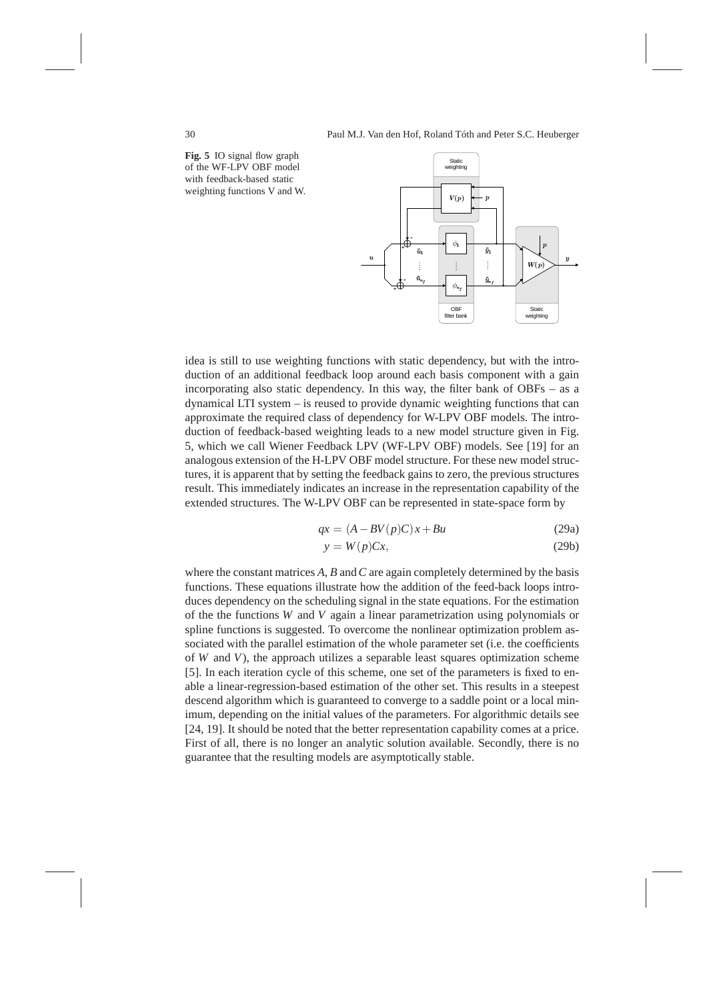**Fig. 5** IO signal flow graph of the WF-LPV OBF model with feedback-based static weighting functions V and W.



idea is still to use weighting functions with static dependency, but with the introduction of an additional feedback loop around each basis component with a gain incorporating also static dependency. In this way, the filter bank of OBFs – as a dynamical LTI system – is reused to provide dynamic weighting functions that can approximate the required class of dependency for W-LPV OBF models. The introduction of feedback-based weighting leads to a new model structure given in Fig. 5, which we call Wiener Feedback LPV (WF-LPV OBF) models. See [19] for an analogous extension of the H-LPV OBF model structure. For these new model structures, it is apparent that by setting the feedback gains to zero, the previous structures result. This immediately indicates an increase in the representation capability of the extended structures. The W-LPV OBF can be represented in state-space form by

$$
qx = (A - BV(p)C)x + Bu \tag{29a}
$$

$$
y = W(p)Cx,\t(29b)
$$

where the constant matrices *A*, *B* and*C* are again completely determined by the basis functions. These equations illustrate how the addition of the feed-back loops introduces dependency on the scheduling signal in the state equations. For the estimation of the the functions *W* and *V* again a linear parametrization using polynomials or spline functions is suggested. To overcome the nonlinear optimization problem associated with the parallel estimation of the whole parameter set (i.e. the coefficients of *W* and *V*), the approach utilizes a separable least squares optimization scheme [5]. In each iteration cycle of this scheme, one set of the parameters is fixed to enable a linear-regression-based estimation of the other set. This results in a steepest descend algorithm which is guaranteed to converge to a saddle point or a local minimum, depending on the initial values of the parameters. For algorithmic details see [24, 19]. It should be noted that the better representation capability comes at a price. First of all, there is no longer an analytic solution available. Secondly, there is no guarantee that the resulting models are asymptotically stable.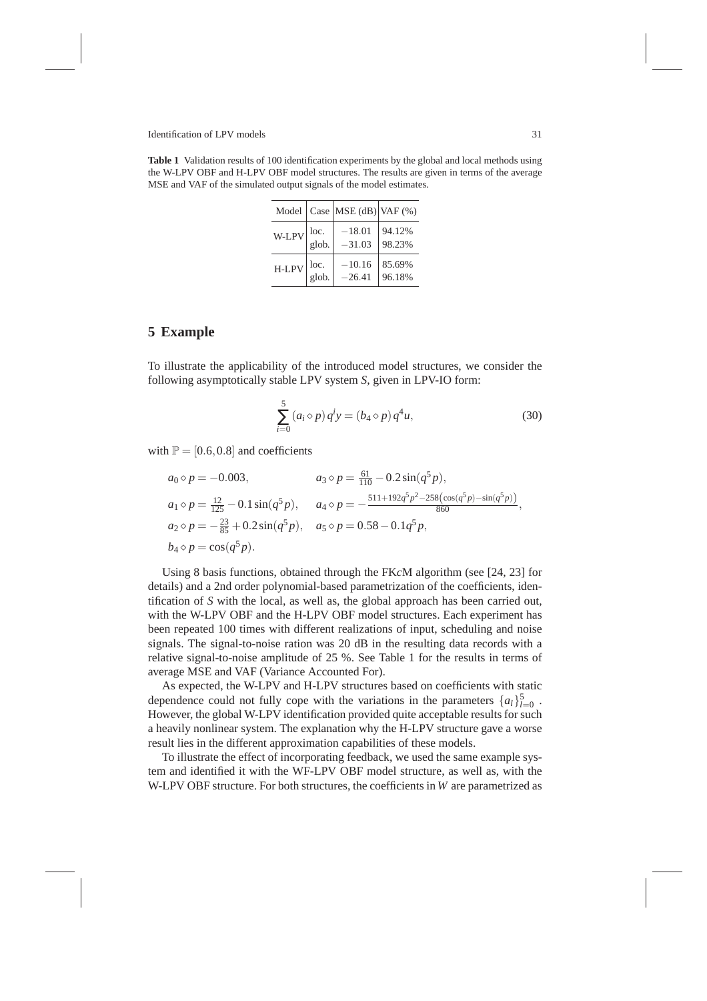**Table 1** Validation results of 100 identification experiments by the global and local methods using the W-LPV OBF and H-LPV OBF model structures. The results are given in terms of the average MSE and VAF of the simulated output signals of the model estimates.

|                                           | Model $\vert$ Case $\vert$ MSE (dB) $\vert$ VAF (%) |                  |
|-------------------------------------------|-----------------------------------------------------|------------------|
| $W-LPV\Big \text{loc.}\atop\text{glob.}$  | $-18.01\,$<br>$-31.03$                              | 94.12%<br>98.23% |
| $H-LPV\Big _{\text{glob.}}^{\text{loc.}}$ | $-10.16$<br>$-26.41$                                | 85.69%<br>96.18% |

# **5 Example**

To illustrate the applicability of the introduced model structures, we consider the following asymptotically stable LPV system *S*, given in LPV-IO form:

$$
\sum_{i=0}^{5} (a_i \diamond p) q^i y = (b_4 \diamond p) q^4 u,
$$
\n(30)

with  $P = [0.6, 0.8]$  and coefficients

$$
a_0 \diamond p = -0.003, \qquad a_3 \diamond p = \frac{61}{110} - 0.2 \sin(q^5 p),
$$
  
\n
$$
a_1 \diamond p = \frac{12}{125} - 0.1 \sin(q^5 p), \qquad a_4 \diamond p = -\frac{511 + 192q^5 p^2 - 258(\cos(q^5 p) - \sin(q^5 p))}{860},
$$
  
\n
$$
a_2 \diamond p = -\frac{23}{85} + 0.2 \sin(q^5 p), \qquad a_5 \diamond p = 0.58 - 0.1q^5 p,
$$
  
\n
$$
b_4 \diamond p = \cos(q^5 p).
$$

Using 8 basis functions, obtained through the FK*c*M algorithm (see [24, 23] for details) and a 2nd order polynomial-based parametrization of the coefficients, identification of *S* with the local, as well as, the global approach has been carried out, with the W-LPV OBF and the H-LPV OBF model structures. Each experiment has been repeated 100 times with different realizations of input, scheduling and noise signals. The signal-to-noise ration was 20 dB in the resulting data records with a relative signal-to-noise amplitude of 25 %. See Table 1 for the results in terms of average MSE and VAF (Variance Accounted For).

As expected, the W-LPV and H-LPV structures based on coefficients with static dependence could not fully cope with the variations in the parameters  $\{a_l\}_{l=0}^5$ . However, the global W-LPV identification provided quite acceptable results for such a heavily nonlinear system. The explanation why the H-LPV structure gave a worse result lies in the different approximation capabilities of these models.

To illustrate the effect of incorporating feedback, we used the same example system and identified it with the WF-LPV OBF model structure, as well as, with the W-LPV OBF structure. For both structures, the coefficients in *W* are parametrized as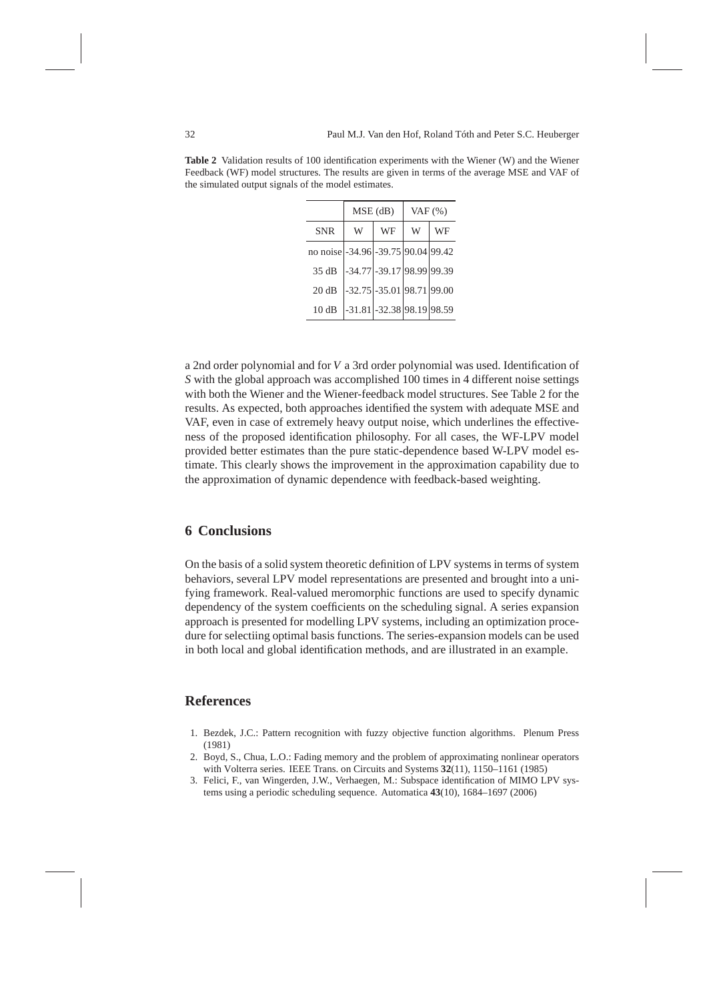|                                     | $MSE$ (dB) |                               | VAF $(\%)$ |    |
|-------------------------------------|------------|-------------------------------|------------|----|
| <b>SNR</b>                          | W          | WF                            | W          | WF |
| no noise -34.96 - 39.75 90.04 99.42 |            |                               |            |    |
| 35 dB                               |            | -34.77 - 39.17 98.99 99.39    |            |    |
| 20 dB                               |            | $-32.75$ $-35.01$ 98.71 99.00 |            |    |
| 10dB                                |            | $-31.81$ $-32.38$ 98.19 98.59 |            |    |

**Table 2** Validation results of 100 identification experiments with the Wiener (W) and the Wiener Feedback (WF) model structures. The results are given in terms of the average MSE and VAF of the simulated output signals of the model estimates.

a 2nd order polynomial and for *V* a 3rd order polynomial was used. Identification of *S* with the global approach was accomplished 100 times in 4 different noise settings with both the Wiener and the Wiener-feedback model structures. See Table 2 for the results. As expected, both approaches identified the system with adequate MSE and VAF, even in case of extremely heavy output noise, which underlines the effectiveness of the proposed identification philosophy. For all cases, the WF-LPV model provided better estimates than the pure static-dependence based W-LPV model estimate. This clearly shows the improvement in the approximation capability due to the approximation of dynamic dependence with feedback-based weighting.

### **6 Conclusions**

On the basis of a solid system theoretic definition of LPV systems in terms of system behaviors, several LPV model representations are presented and brought into a unifying framework. Real-valued meromorphic functions are used to specify dynamic dependency of the system coefficients on the scheduling signal. A series expansion approach is presented for modelling LPV systems, including an optimization procedure for selectiing optimal basis functions. The series-expansion models can be used in both local and global identification methods, and are illustrated in an example.

### **References**

- 1. Bezdek, J.C.: Pattern recognition with fuzzy objective function algorithms. Plenum Press (1981)
- 2. Boyd, S., Chua, L.O.: Fading memory and the problem of approximating nonlinear operators with Volterra series. IEEE Trans. on Circuits and Systems **32**(11), 1150–1161 (1985)
- 3. Felici, F., van Wingerden, J.W., Verhaegen, M.: Subspace identification of MIMO LPV systems using a periodic scheduling sequence. Automatica **43**(10), 1684–1697 (2006)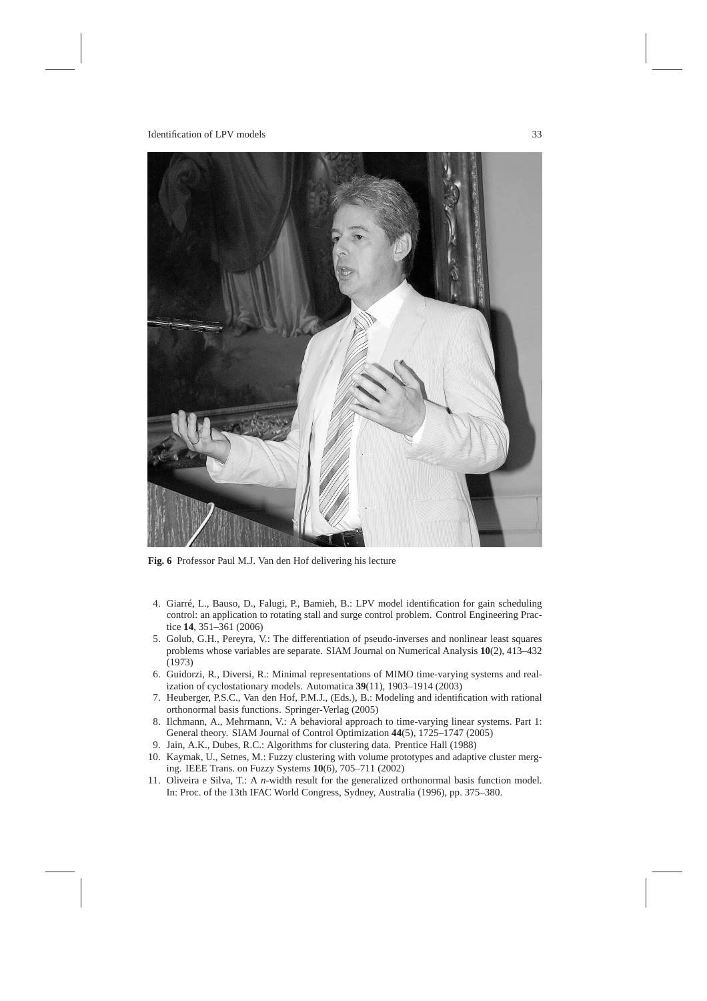

**Fig. 6** Professor Paul M.J. Van den Hof delivering his lecture

- 4. Giarré, L., Bauso, D., Falugi, P., Bamieh, B.: LPV model identification for gain scheduling control: an application to rotating stall and surge control problem. Control Engineering Practice **14**, 351–361 (2006)
- 5. Golub, G.H., Pereyra, V.: The differentiation of pseudo-inverses and nonlinear least squares problems whose variables are separate. SIAM Journal on Numerical Analysis **10**(2), 413–432 (1973)
- 6. Guidorzi, R., Diversi, R.: Minimal representations of MIMO time-varying systems and realization of cyclostationary models. Automatica **39**(11), 1903–1914 (2003)
- 7. Heuberger, P.S.C., Van den Hof, P.M.J., (Eds.), B.: Modeling and identification with rational orthonormal basis functions. Springer-Verlag (2005)
- 8. Ilchmann, A., Mehrmann, V.: A behavioral approach to time-varying linear systems. Part 1: General theory. SIAM Journal of Control Optimization **44**(5), 1725–1747 (2005)
- 9. Jain, A.K., Dubes, R.C.: Algorithms for clustering data. Prentice Hall (1988)
- 10. Kaymak, U., Setnes, M.: Fuzzy clustering with volume prototypes and adaptive cluster merging. IEEE Trans. on Fuzzy Systems **10**(6), 705–711 (2002)
- 11. Oliveira e Silva, T.: A *n*-width result for the generalized orthonormal basis function model. In: Proc. of the 13th IFAC World Congress, Sydney, Australia (1996), pp. 375–380.